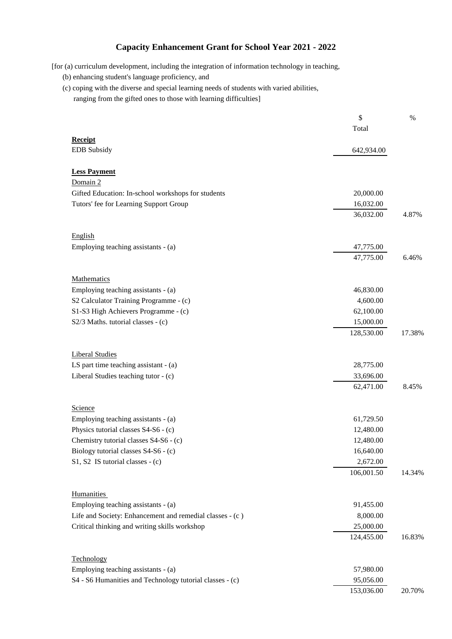## **Capacity Enhancement Grant for School Year 2021 - 2022**

[for (a) curriculum development, including the integration of information technology in teaching,

- (b) enhancing student's language proficiency, and
- (c) coping with the diverse and special learning needs of students with varied abilities, ranging from the gifted ones to those with learning difficulties]

|                                                          | \$         | $\%$   |
|----------------------------------------------------------|------------|--------|
|                                                          | Total      |        |
| <b>Receipt</b><br><b>EDB</b> Subsidy                     | 642,934.00 |        |
|                                                          |            |        |
| <b>Less Payment</b>                                      |            |        |
| Domain 2                                                 |            |        |
| Gifted Education: In-school workshops for students       | 20,000.00  |        |
| Tutors' fee for Learning Support Group                   | 16,032.00  |        |
|                                                          | 36,032.00  | 4.87%  |
| English                                                  |            |        |
| Employing teaching assistants - (a)                      | 47,775.00  |        |
|                                                          | 47,775.00  | 6.46%  |
|                                                          |            |        |
| Mathematics                                              |            |        |
| Employing teaching assistants - (a)                      | 46,830.00  |        |
| S2 Calculator Training Programme - (c)                   | 4,600.00   |        |
| S1-S3 High Achievers Programme - (c)                     | 62,100.00  |        |
| S2/3 Maths. tutorial classes - (c)                       | 15,000.00  |        |
|                                                          | 128,530.00 | 17.38% |
| <b>Liberal Studies</b>                                   |            |        |
| LS part time teaching assistant - (a)                    | 28,775.00  |        |
| Liberal Studies teaching tutor - (c)                     | 33,696.00  |        |
|                                                          | 62,471.00  | 8.45%  |
|                                                          |            |        |
| Science                                                  |            |        |
| Employing teaching assistants - (a)                      | 61,729.50  |        |
| Physics tutorial classes S4-S6 - (c)                     | 12,480.00  |        |
| Chemistry tutorial classes S4-S6 - (c)                   | 12,480.00  |        |
| Biology tutorial classes S4-S6 - (c)                     | 16,640.00  |        |
| $S1, S2$ IS tutorial classes - (c)                       | 2,672.00   |        |
|                                                          | 106,001.50 | 14.34% |
| <b>Humanities</b>                                        |            |        |
| Employing teaching assistants - (a)                      | 91,455.00  |        |
| Life and Society: Enhancement and remedial classes - (c) | 8,000.00   |        |
| Critical thinking and writing skills workshop            | 25,000.00  |        |
|                                                          | 124,455.00 | 16.83% |
|                                                          |            |        |
| Technology                                               |            |        |
| Employing teaching assistants - (a)                      | 57,980.00  |        |
| S4 - S6 Humanities and Technology tutorial classes - (c) | 95,056.00  |        |
|                                                          | 153,036.00 | 20.70% |